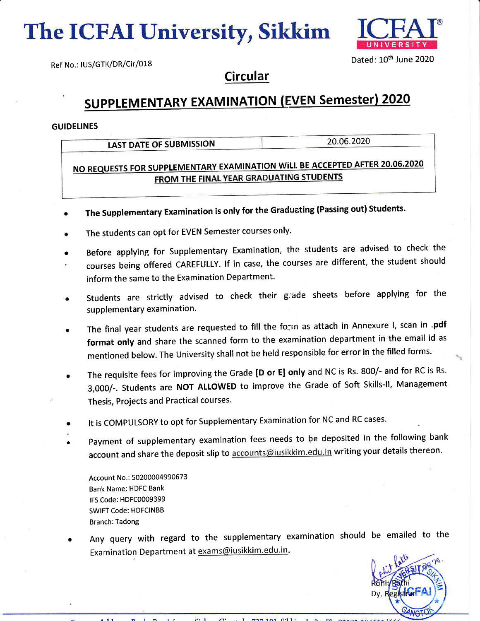# The ICFAI University, Sikkim



Ref No.: IUS/GTK/DR/Cir/018

**Circular** 

## SUPPLEMENTARY EXAMINATION (EVEN Semester) 2020

#### GUIDELINES

LAST DATE OF SUBMISSION

20.06.2020

### FROM THE FINAL YEAR GRADUATING STUDENTS NO REQUESTS FOR SUPPLEMENTARY EXAMINATION WILL BE ACCEPTED AFTER 20.06.2020

- The Supplementary Examination is only for the Graduating (Passing out) Students.
- The students can opt for EVEN Semester courses only.
- Before applying for Supplementary Examination, the students are advised to check the , courses being offered CAREFULLY. lf in case, the courses are different, the student should inform the same to the Examination Department.
- Students are strictly advised to check their grade sheets before applying for the supplementary examination.
- **o** The final year students are requested to fill the forin as attach in Annexure I, scan in .pdf format only and share the scanned form to the examination department in the email id as mentioned below. The University shall not be held responsible for error in the filled forms.
- The requisite fees for improving the Grade [D or E] only and NC is Rs. 800/- and for RC is Rs. 3,000/-. Students are NOT ALLOWED to improve the Grade of Soft Skills-II, Management Thesis, Projects and Practical courses.
- It is COMPULSORY to opt for Supplementary Examination for NC and RC cases.
- Payment of supplementary examination fees needs to be deposited in the following bank account and share the deposit slip to **accounts@iusikkim.edu.in** writing your details thereon.

Account No.: 50200004990673 Bank Name.: HDFC Bank IFS Code: HDFC0009399 SWIFT Code: HDFCINBB Branch: Tadong

Any query with regard to the supplementary examination should be emailed to the a Examination Department at exams@iusikkim.edu.in.



\